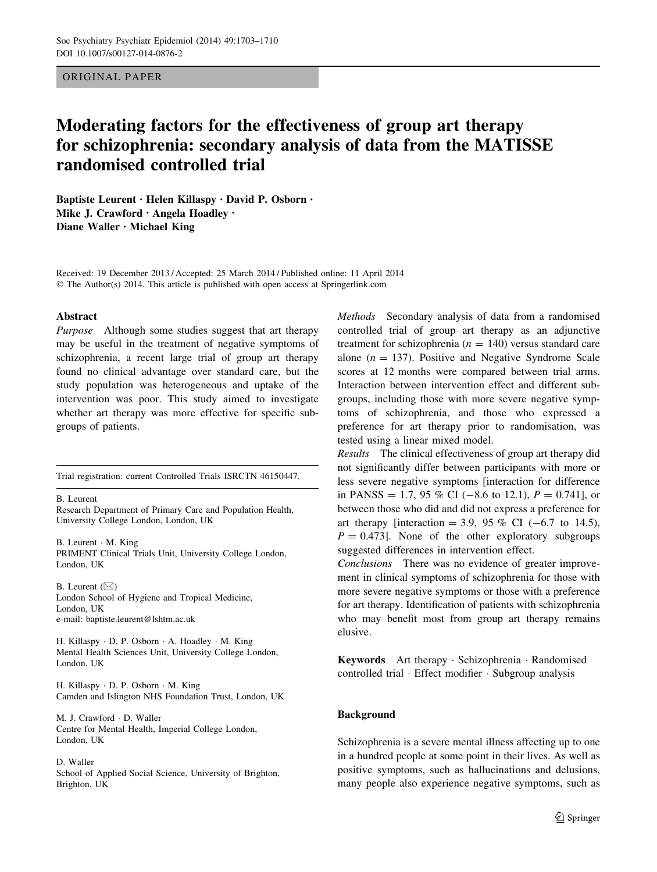ORIGINAL PAPER

# Moderating factors for the effectiveness of group art therapy for schizophrenia: secondary analysis of data from the MATISSE randomised controlled trial

Baptiste Leurent • Helen Killaspy • David P. Osborn • Mike J. Crawford • Angela Hoadley • Diane Waller • Michael King

Received: 19 December 2013 / Accepted: 25 March 2014 / Published online: 11 April 2014 © The Author(s) 2014. This article is published with open access at Springerlink.com

#### Abstract

Purpose Although some studies suggest that art therapy may be useful in the treatment of negative symptoms of schizophrenia, a recent large trial of group art therapy found no clinical advantage over standard care, but the study population was heterogeneous and uptake of the intervention was poor. This study aimed to investigate whether art therapy was more effective for specific subgroups of patients.

Trial registration: current Controlled Trials ISRCTN 46150447.

B. Leurent Research Department of Primary Care and Population Health, University College London, London, UK

B. Leurent · M. King PRIMENT Clinical Trials Unit, University College London, London, UK

B. Leurent  $(\boxtimes)$ London School of Hygiene and Tropical Medicine, London, UK e-mail: baptiste.leurent@lshtm.ac.uk

H. Killaspy - D. P. Osborn - A. Hoadley - M. King Mental Health Sciences Unit, University College London, London, UK

H. Killaspy - D. P. Osborn - M. King Camden and Islington NHS Foundation Trust, London, UK

M. J. Crawford - D. Waller Centre for Mental Health, Imperial College London, London, UK

D. Waller

School of Applied Social Science, University of Brighton, Brighton, UK

Methods Secondary analysis of data from a randomised controlled trial of group art therapy as an adjunctive treatment for schizophrenia ( $n = 140$ ) versus standard care alone ( $n = 137$ ). Positive and Negative Syndrome Scale scores at 12 months were compared between trial arms. Interaction between intervention effect and different subgroups, including those with more severe negative symptoms of schizophrenia, and those who expressed a preference for art therapy prior to randomisation, was tested using a linear mixed model.

Results The clinical effectiveness of group art therapy did not significantly differ between participants with more or less severe negative symptoms [interaction for difference in PANSS = 1.7, 95 % CI (-8.6 to 12.1),  $P = 0.741$ ], or between those who did and did not express a preference for art therapy [interaction = 3.9, 95 % CI  $(-6.7 \text{ to } 14.5)$ ,  $P = 0.473$ . None of the other exploratory subgroups suggested differences in intervention effect.

Conclusions There was no evidence of greater improvement in clinical symptoms of schizophrenia for those with more severe negative symptoms or those with a preference for art therapy. Identification of patients with schizophrenia who may benefit most from group art therapy remains elusive.

Keywords Art therapy - Schizophrenia - Randomised controlled trial - Effect modifier - Subgroup analysis

# Background

Schizophrenia is a severe mental illness affecting up to one in a hundred people at some point in their lives. As well as positive symptoms, such as hallucinations and delusions, many people also experience negative symptoms, such as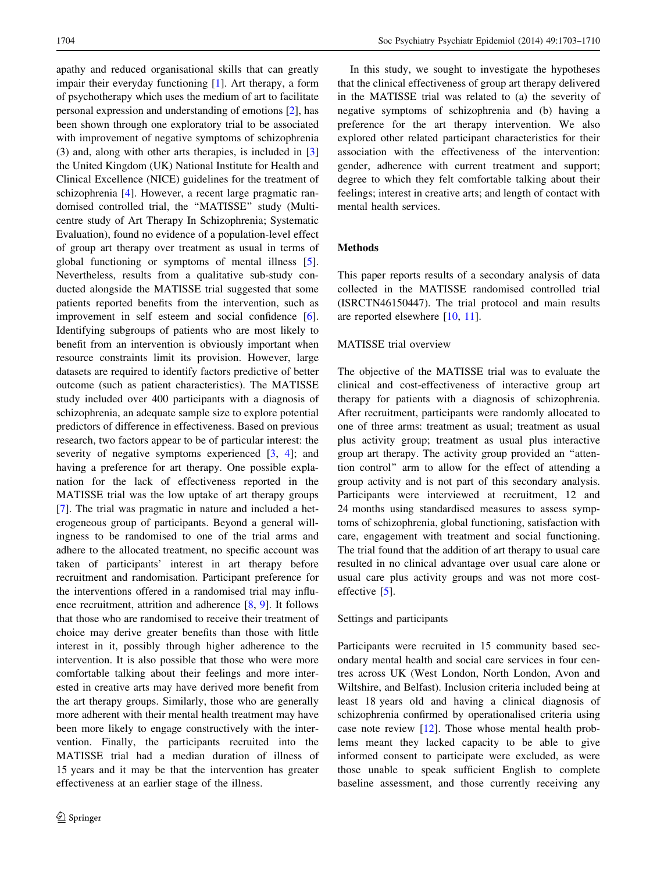apathy and reduced organisational skills that can greatly impair their everyday functioning [\[1](#page-7-0)]. Art therapy, a form of psychotherapy which uses the medium of art to facilitate personal expression and understanding of emotions [\[2](#page-7-0)], has been shown through one exploratory trial to be associated with improvement of negative symptoms of schizophrenia (3) and, along with other arts therapies, is included in [[3\]](#page-7-0) the United Kingdom (UK) National Institute for Health and Clinical Excellence (NICE) guidelines for the treatment of schizophrenia [\[4](#page-7-0)]. However, a recent large pragmatic randomised controlled trial, the ''MATISSE'' study (Multicentre study of Art Therapy In Schizophrenia; Systematic Evaluation), found no evidence of a population-level effect of group art therapy over treatment as usual in terms of global functioning or symptoms of mental illness [\[5](#page-7-0)]. Nevertheless, results from a qualitative sub-study conducted alongside the MATISSE trial suggested that some patients reported benefits from the intervention, such as improvement in self esteem and social confidence [\[6](#page-7-0)]. Identifying subgroups of patients who are most likely to benefit from an intervention is obviously important when resource constraints limit its provision. However, large datasets are required to identify factors predictive of better outcome (such as patient characteristics). The MATISSE study included over 400 participants with a diagnosis of schizophrenia, an adequate sample size to explore potential predictors of difference in effectiveness. Based on previous research, two factors appear to be of particular interest: the severity of negative symptoms experienced [\[3](#page-7-0), [4](#page-7-0)]; and having a preference for art therapy. One possible explanation for the lack of effectiveness reported in the MATISSE trial was the low uptake of art therapy groups [\[7](#page-7-0)]. The trial was pragmatic in nature and included a heterogeneous group of participants. Beyond a general willingness to be randomised to one of the trial arms and adhere to the allocated treatment, no specific account was taken of participants' interest in art therapy before recruitment and randomisation. Participant preference for the interventions offered in a randomised trial may influence recruitment, attrition and adherence [[8,](#page-7-0) [9\]](#page-7-0). It follows that those who are randomised to receive their treatment of choice may derive greater benefits than those with little interest in it, possibly through higher adherence to the intervention. It is also possible that those who were more comfortable talking about their feelings and more interested in creative arts may have derived more benefit from the art therapy groups. Similarly, those who are generally more adherent with their mental health treatment may have been more likely to engage constructively with the intervention. Finally, the participants recruited into the MATISSE trial had a median duration of illness of 15 years and it may be that the intervention has greater effectiveness at an earlier stage of the illness.

In this study, we sought to investigate the hypotheses that the clinical effectiveness of group art therapy delivered in the MATISSE trial was related to (a) the severity of negative symptoms of schizophrenia and (b) having a preference for the art therapy intervention. We also explored other related participant characteristics for their association with the effectiveness of the intervention: gender, adherence with current treatment and support; degree to which they felt comfortable talking about their feelings; interest in creative arts; and length of contact with mental health services.

# Methods

This paper reports results of a secondary analysis of data collected in the MATISSE randomised controlled trial (ISRCTN46150447). The trial protocol and main results are reported elsewhere [\[10](#page-7-0), [11\]](#page-7-0).

## MATISSE trial overview

The objective of the MATISSE trial was to evaluate the clinical and cost-effectiveness of interactive group art therapy for patients with a diagnosis of schizophrenia. After recruitment, participants were randomly allocated to one of three arms: treatment as usual; treatment as usual plus activity group; treatment as usual plus interactive group art therapy. The activity group provided an ''attention control'' arm to allow for the effect of attending a group activity and is not part of this secondary analysis. Participants were interviewed at recruitment, 12 and 24 months using standardised measures to assess symptoms of schizophrenia, global functioning, satisfaction with care, engagement with treatment and social functioning. The trial found that the addition of art therapy to usual care resulted in no clinical advantage over usual care alone or usual care plus activity groups and was not more costeffective [[5\]](#page-7-0).

# Settings and participants

Participants were recruited in 15 community based secondary mental health and social care services in four centres across UK (West London, North London, Avon and Wiltshire, and Belfast). Inclusion criteria included being at least 18 years old and having a clinical diagnosis of schizophrenia confirmed by operationalised criteria using case note review [[12\]](#page-7-0). Those whose mental health problems meant they lacked capacity to be able to give informed consent to participate were excluded, as were those unable to speak sufficient English to complete baseline assessment, and those currently receiving any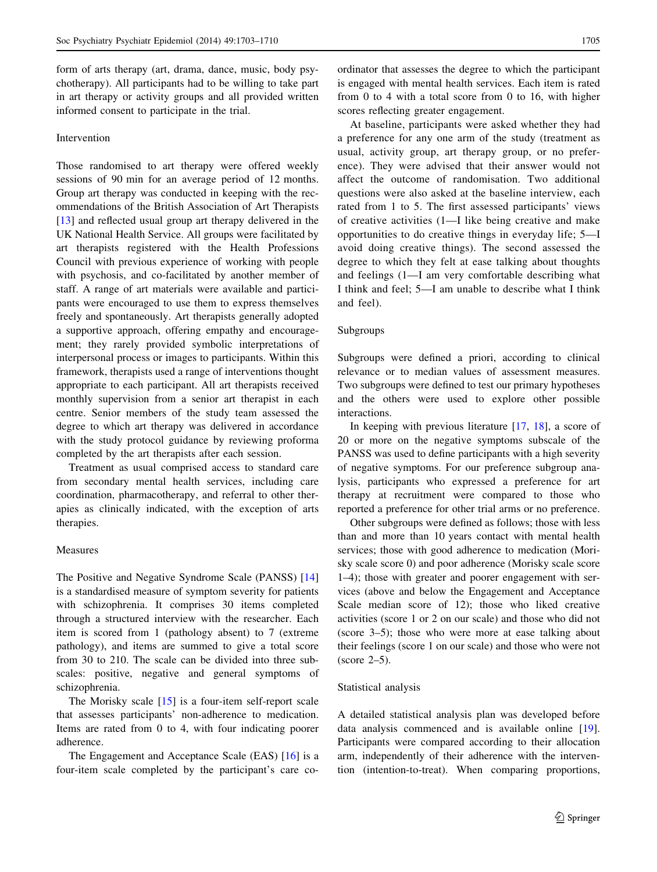form of arts therapy (art, drama, dance, music, body psychotherapy). All participants had to be willing to take part in art therapy or activity groups and all provided written informed consent to participate in the trial.

# Intervention

Those randomised to art therapy were offered weekly sessions of 90 min for an average period of 12 months. Group art therapy was conducted in keeping with the recommendations of the British Association of Art Therapists [\[13](#page-7-0)] and reflected usual group art therapy delivered in the UK National Health Service. All groups were facilitated by art therapists registered with the Health Professions Council with previous experience of working with people with psychosis, and co-facilitated by another member of staff. A range of art materials were available and participants were encouraged to use them to express themselves freely and spontaneously. Art therapists generally adopted a supportive approach, offering empathy and encouragement; they rarely provided symbolic interpretations of interpersonal process or images to participants. Within this framework, therapists used a range of interventions thought appropriate to each participant. All art therapists received monthly supervision from a senior art therapist in each centre. Senior members of the study team assessed the degree to which art therapy was delivered in accordance with the study protocol guidance by reviewing proforma completed by the art therapists after each session.

Treatment as usual comprised access to standard care from secondary mental health services, including care coordination, pharmacotherapy, and referral to other therapies as clinically indicated, with the exception of arts therapies.

### Measures

The Positive and Negative Syndrome Scale (PANSS) [[14\]](#page-7-0) is a standardised measure of symptom severity for patients with schizophrenia. It comprises 30 items completed through a structured interview with the researcher. Each item is scored from 1 (pathology absent) to 7 (extreme pathology), and items are summed to give a total score from 30 to 210. The scale can be divided into three subscales: positive, negative and general symptoms of schizophrenia.

The Morisky scale [\[15](#page-7-0)] is a four-item self-report scale that assesses participants' non-adherence to medication. Items are rated from 0 to 4, with four indicating poorer adherence.

The Engagement and Acceptance Scale (EAS) [\[16](#page-7-0)] is a four-item scale completed by the participant's care coordinator that assesses the degree to which the participant is engaged with mental health services. Each item is rated from 0 to 4 with a total score from 0 to 16, with higher scores reflecting greater engagement.

At baseline, participants were asked whether they had a preference for any one arm of the study (treatment as usual, activity group, art therapy group, or no preference). They were advised that their answer would not affect the outcome of randomisation. Two additional questions were also asked at the baseline interview, each rated from 1 to 5. The first assessed participants' views of creative activities (1—I like being creative and make opportunities to do creative things in everyday life; 5—I avoid doing creative things). The second assessed the degree to which they felt at ease talking about thoughts and feelings (1—I am very comfortable describing what I think and feel; 5—I am unable to describe what I think and feel).

#### Subgroups

Subgroups were defined a priori, according to clinical relevance or to median values of assessment measures. Two subgroups were defined to test our primary hypotheses and the others were used to explore other possible interactions.

In keeping with previous literature [\[17,](#page-7-0) [18\]](#page-7-0), a score of 20 or more on the negative symptoms subscale of the PANSS was used to define participants with a high severity of negative symptoms. For our preference subgroup analysis, participants who expressed a preference for art therapy at recruitment were compared to those who reported a preference for other trial arms or no preference.

Other subgroups were defined as follows; those with less than and more than 10 years contact with mental health services; those with good adherence to medication (Morisky scale score 0) and poor adherence (Morisky scale score 1–4); those with greater and poorer engagement with services (above and below the Engagement and Acceptance Scale median score of 12); those who liked creative activities (score 1 or 2 on our scale) and those who did not (score 3–5); those who were more at ease talking about their feelings (score 1 on our scale) and those who were not (score 2–5).

#### Statistical analysis

A detailed statistical analysis plan was developed before data analysis commenced and is available online [\[19](#page-7-0)]. Participants were compared according to their allocation arm, independently of their adherence with the intervention (intention-to-treat). When comparing proportions,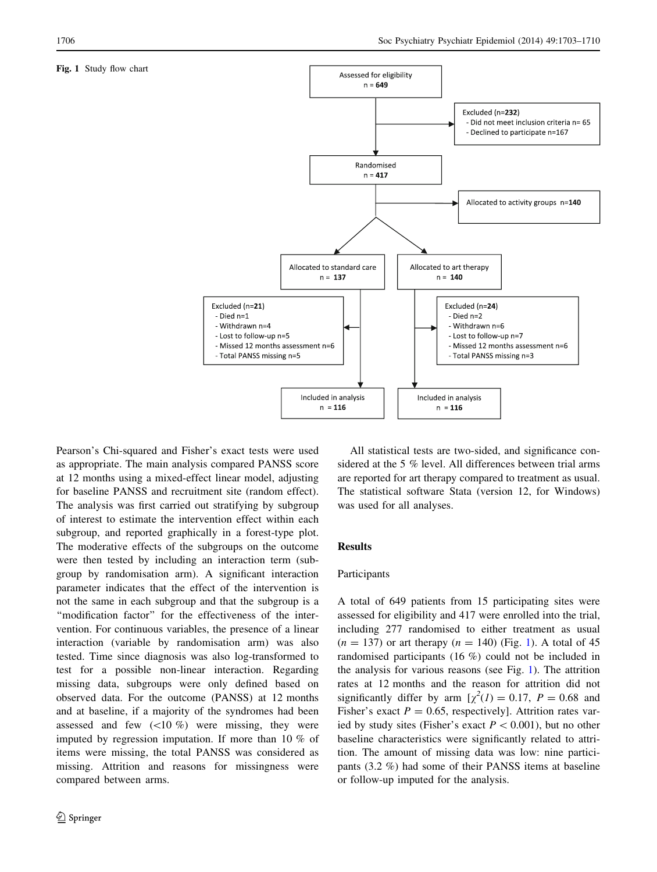#### Fig. 1 Study flow chart



Pearson's Chi-squared and Fisher's exact tests were used as appropriate. The main analysis compared PANSS score at 12 months using a mixed-effect linear model, adjusting for baseline PANSS and recruitment site (random effect). The analysis was first carried out stratifying by subgroup of interest to estimate the intervention effect within each subgroup, and reported graphically in a forest-type plot. The moderative effects of the subgroups on the outcome were then tested by including an interaction term (subgroup by randomisation arm). A significant interaction parameter indicates that the effect of the intervention is not the same in each subgroup and that the subgroup is a ''modification factor'' for the effectiveness of the intervention. For continuous variables, the presence of a linear interaction (variable by randomisation arm) was also tested. Time since diagnosis was also log-transformed to test for a possible non-linear interaction. Regarding missing data, subgroups were only defined based on observed data. For the outcome (PANSS) at 12 months and at baseline, if a majority of the syndromes had been assessed and few  $(\leq 10 \%)$  were missing, they were imputed by regression imputation. If more than 10 % of items were missing, the total PANSS was considered as missing. Attrition and reasons for missingness were compared between arms.

All statistical tests are two-sided, and significance considered at the 5 % level. All differences between trial arms are reported for art therapy compared to treatment as usual. The statistical software Stata (version 12, for Windows) was used for all analyses.

### Results

## Participants

A total of 649 patients from 15 participating sites were assessed for eligibility and 417 were enrolled into the trial, including 277 randomised to either treatment as usual  $(n = 137)$  or art therapy  $(n = 140)$  (Fig. 1). A total of 45 randomised participants (16 %) could not be included in the analysis for various reasons (see Fig. 1). The attrition rates at 12 months and the reason for attrition did not significantly differ by arm  $[\chi^2(1) = 0.17, P = 0.68$  and Fisher's exact  $P = 0.65$ , respectively]. Attrition rates varied by study sites (Fisher's exact  $P < 0.001$ ), but no other baseline characteristics were significantly related to attrition. The amount of missing data was low: nine participants (3.2 %) had some of their PANSS items at baseline or follow-up imputed for the analysis.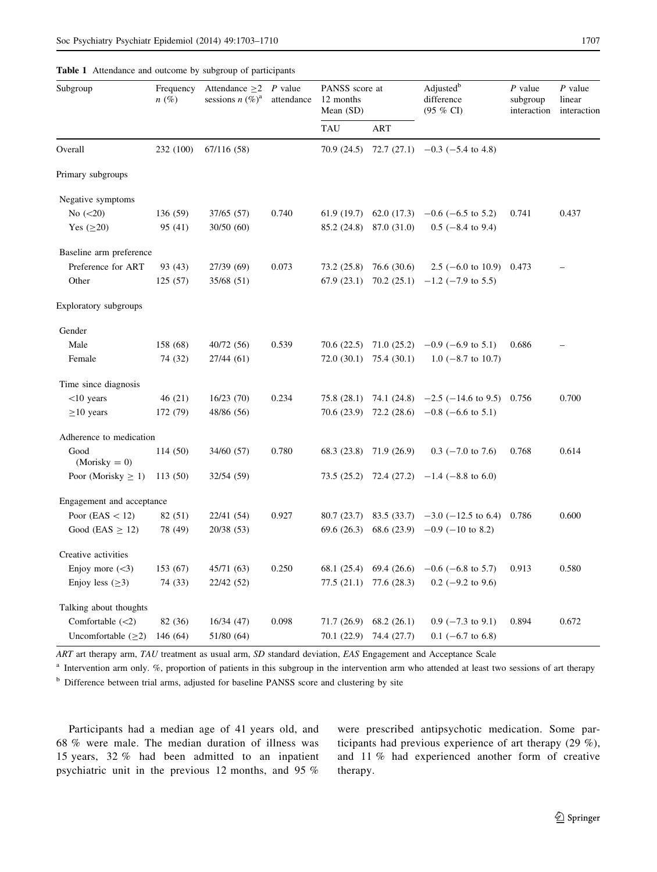#### <span id="page-4-0"></span>Table 1 Attendance and outcome by subgroup of participants

| Subgroup                     | Frequency<br>$n(\%)$ | Attendance $\geq$ 2<br>sessions $n (\%)^a$ | $P$ value<br>attendance | PANSS score at<br>12 months<br>Mean (SD) |             | Adjusted <sup>b</sup><br>difference<br>$(95 \% CI)$ | $P$ value<br>subgroup<br>interaction | $P$ value<br>linear<br>interaction |
|------------------------------|----------------------|--------------------------------------------|-------------------------|------------------------------------------|-------------|-----------------------------------------------------|--------------------------------------|------------------------------------|
|                              |                      |                                            |                         | TAU                                      | <b>ART</b>  |                                                     |                                      |                                    |
| Overall                      | 232 (100)            | 67/116 (58)                                |                         | 70.9 (24.5)                              |             | 72.7 (27.1) $-0.3$ (-5.4 to 4.8)                    |                                      |                                    |
| Primary subgroups            |                      |                                            |                         |                                          |             |                                                     |                                      |                                    |
| Negative symptoms            |                      |                                            |                         |                                          |             |                                                     |                                      |                                    |
| No $(<20)$                   | 136 (59)             | 37/65 (57)                                 | 0.740                   | 61.9(19.7)                               | 62.0(17.3)  | $-0.6$ (-6.5 to 5.2)                                | 0.741                                | 0.437                              |
| Yes $(\geq 20)$              | 95 (41)              | 30/50 (60)                                 |                         | 85.2 (24.8)                              | 87.0 (31.0) | $0.5$ (-8.4 to 9.4)                                 |                                      |                                    |
| Baseline arm preference      |                      |                                            |                         |                                          |             |                                                     |                                      |                                    |
| Preference for ART           | 93 (43)              | 27/39 (69)                                 | 0.073                   | 73.2 (25.8)                              | 76.6 (30.6) | $2.5$ (-6.0 to 10.9)                                | 0.473                                |                                    |
| Other                        | 125(57)              | 35/68 (51)                                 |                         | 67.9(23.1)                               | 70.2(25.1)  | $-1.2$ (-7.9 to 5.5)                                |                                      |                                    |
| <b>Exploratory subgroups</b> |                      |                                            |                         |                                          |             |                                                     |                                      |                                    |
| Gender                       |                      |                                            |                         |                                          |             |                                                     |                                      |                                    |
| Male                         | 158 (68)             | 40/72 (56)                                 | 0.539                   | 70.6(22.5)                               | 71.0(25.2)  | $-0.9$ (-6.9 to 5.1)                                | 0.686                                |                                    |
| Female                       | 74 (32)              | 27/44 (61)                                 |                         | 72.0(30.1)                               | 75.4 (30.1) | $1.0$ (-8.7 to 10.7)                                |                                      |                                    |
| Time since diagnosis         |                      |                                            |                         |                                          |             |                                                     |                                      |                                    |
| $<$ 10 years                 | 46 (21)              | 16/23(70)                                  | 0.234                   | 75.8 (28.1)                              |             | 74.1 $(24.8)$ -2.5 $(-14.6 \text{ to } 9.5)$        | 0.756                                | 0.700                              |
| $\geq$ 10 years              | 172 (79)             | 48/86 (56)                                 |                         | 70.6 (23.9)                              |             | 72.2 (28.6) $-0.8$ ( $-6.6$ to 5.1)                 |                                      |                                    |
| Adherence to medication      |                      |                                            |                         |                                          |             |                                                     |                                      |                                    |
| Good<br>$(Morisky = 0)$      | 114 (50)             | 34/60 (57)                                 | 0.780                   | 68.3 (23.8)                              | 71.9 (26.9) | $0.3$ (-7.0 to 7.6)                                 | 0.768                                | 0.614                              |
| Poor (Morisky $\geq 1$ )     | 113(50)              | 32/54 (59)                                 |                         | 73.5 (25.2)                              | 72.4 (27.2) | $-1.4$ (-8.8 to 6.0)                                |                                      |                                    |
| Engagement and acceptance    |                      |                                            |                         |                                          |             |                                                     |                                      |                                    |
| Poor (EAS $<$ 12)            | 82 (51)              | 22/41 (54)                                 | 0.927                   | 80.7 (23.7)                              | 83.5 (33.7) | $-3.0$ ( $-12.5$ to 6.4)                            | 0.786                                | 0.600                              |
| Good (EAS $\geq$ 12)         | 78 (49)              | 20/38 (53)                                 |                         | 69.6(26.3)                               |             | 68.6 (23.9) $-0.9$ (-10 to 8.2)                     |                                      |                                    |
| Creative activities          |                      |                                            |                         |                                          |             |                                                     |                                      |                                    |
| Enjoy more $(<3)$            | 153 (67)             | 45/71 (63)                                 | 0.250                   | 68.1 (25.4)                              | 69.4 (26.6) | $-0.6$ ( $-6.8$ to 5.7)                             | 0.913                                | 0.580                              |
| Enjoy less $(\geq 3)$        | 74 (33)              | 22/42 (52)                                 |                         | 77.5(21.1)                               | 77.6 (28.3) | $0.2$ (-9.2 to 9.6)                                 |                                      |                                    |
| Talking about thoughts       |                      |                                            |                         |                                          |             |                                                     |                                      |                                    |
| Comfortable $(<2)$           | 82 (36)              | 16/34 (47)                                 | 0.098                   | 71.7 (26.9)                              | 68.2(26.1)  | $0.9$ ( $-7.3$ to $9.1$ )                           | 0.894                                | 0.672                              |
| Uncomfortable $(\geq 2)$     | 146 (64)             | 51/80 (64)                                 |                         | 70.1 (22.9)                              | 74.4 (27.7) | $0.1$ (-6.7 to 6.8)                                 |                                      |                                    |

ART art therapy arm, TAU treatment as usual arm, SD standard deviation, EAS Engagement and Acceptance Scale

<sup>a</sup> Intervention arm only. %, proportion of patients in this subgroup in the intervention arm who attended at least two sessions of art therapy <sup>b</sup> Difference between trial arms, adjusted for baseline PANSS score and clustering by site

Participants had a median age of 41 years old, and 68 % were male. The median duration of illness was 15 years, 32 % had been admitted to an inpatient psychiatric unit in the previous 12 months, and 95 % were prescribed antipsychotic medication. Some participants had previous experience of art therapy (29 %), and 11 % had experienced another form of creative therapy.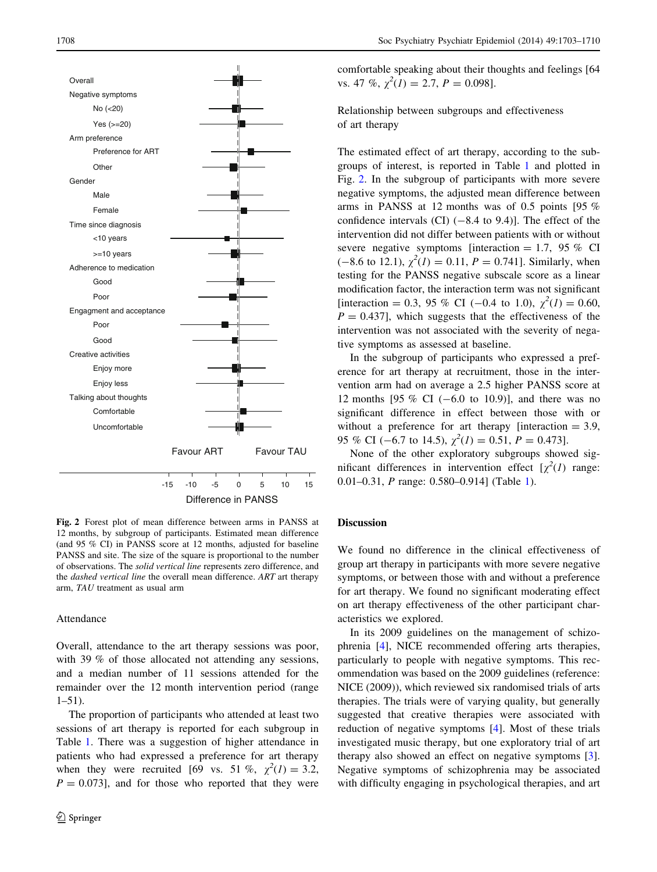

Fig. 2 Forest plot of mean difference between arms in PANSS at 12 months, by subgroup of participants. Estimated mean difference (and 95 % CI) in PANSS score at 12 months, adjusted for baseline PANSS and site. The size of the square is proportional to the number of observations. The solid vertical line represents zero difference, and the *dashed vertical line* the overall mean difference. ART art therapy arm, TAU treatment as usual arm

# Attendance

Overall, attendance to the art therapy sessions was poor, with 39 % of those allocated not attending any sessions, and a median number of 11 sessions attended for the remainder over the 12 month intervention period (range 1–51).

The proportion of participants who attended at least two sessions of art therapy is reported for each subgroup in Table [1](#page-4-0). There was a suggestion of higher attendance in patients who had expressed a preference for art therapy when they were recruited [69 vs. 51 %,  $\chi^2(1) = 3.2$ ,  $P = 0.073$ ], and for those who reported that they were comfortable speaking about their thoughts and feelings [64 vs. 47 %,  $\chi^2(1) = 2.7, P = 0.098$ ].

Relationship between subgroups and effectiveness of art therapy

The estimated effect of art therapy, according to the subgroups of interest, is reported in Table [1](#page-4-0) and plotted in Fig. 2. In the subgroup of participants with more severe negative symptoms, the adjusted mean difference between arms in PANSS at 12 months was of 0.5 points [95 % confidence intervals (CI)  $(-8.4 \text{ to } 9.4)$ ]. The effect of the intervention did not differ between patients with or without severe negative symptoms [interaction  $= 1.7, 95\%$  CI  $(-8.6 \text{ to } 12.1), \chi^2(1) = 0.11, P = 0.741$ . Similarly, when testing for the PANSS negative subscale score as a linear modification factor, the interaction term was not significant [interaction = 0.3, 95 % CI (-0.4 to 1.0),  $\chi^2(1) = 0.60$ ,  $P = 0.437$ , which suggests that the effectiveness of the intervention was not associated with the severity of negative symptoms as assessed at baseline.

In the subgroup of participants who expressed a preference for art therapy at recruitment, those in the intervention arm had on average a 2.5 higher PANSS score at 12 months [95  $%$  CI (-6.0 to 10.9)], and there was no significant difference in effect between those with or without a preference for art therapy [interaction  $= 3.9$ , 95 % CI (-6.7 to 14.5),  $\chi^2(1) = 0.51$ ,  $P = 0.473$ .

None of the other exploratory subgroups showed significant differences in intervention effect  $[\chi^2(I)]$  range: 0.01–0.31, P range: 0.580–0.914] (Table [1\)](#page-4-0).

## **Discussion**

We found no difference in the clinical effectiveness of group art therapy in participants with more severe negative symptoms, or between those with and without a preference for art therapy. We found no significant moderating effect on art therapy effectiveness of the other participant characteristics we explored.

In its 2009 guidelines on the management of schizophrenia [\[4](#page-7-0)], NICE recommended offering arts therapies, particularly to people with negative symptoms. This recommendation was based on the 2009 guidelines (reference: NICE (2009)), which reviewed six randomised trials of arts therapies. The trials were of varying quality, but generally suggested that creative therapies were associated with reduction of negative symptoms [\[4](#page-7-0)]. Most of these trials investigated music therapy, but one exploratory trial of art therapy also showed an effect on negative symptoms [\[3](#page-7-0)]. Negative symptoms of schizophrenia may be associated with difficulty engaging in psychological therapies, and art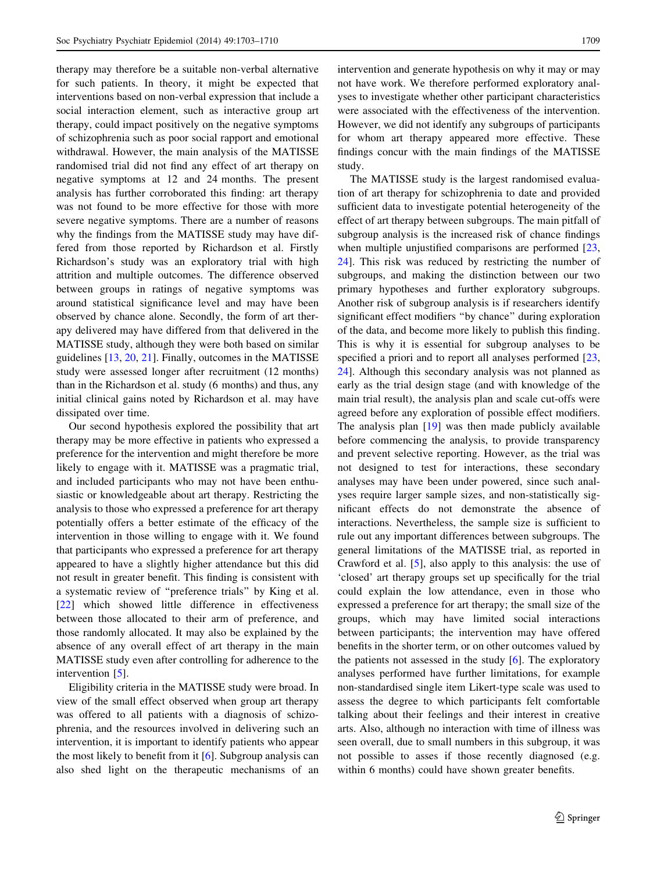therapy may therefore be a suitable non-verbal alternative for such patients. In theory, it might be expected that interventions based on non-verbal expression that include a social interaction element, such as interactive group art therapy, could impact positively on the negative symptoms of schizophrenia such as poor social rapport and emotional withdrawal. However, the main analysis of the MATISSE randomised trial did not find any effect of art therapy on negative symptoms at 12 and 24 months. The present analysis has further corroborated this finding: art therapy was not found to be more effective for those with more severe negative symptoms. There are a number of reasons why the findings from the MATISSE study may have differed from those reported by Richardson et al. Firstly Richardson's study was an exploratory trial with high attrition and multiple outcomes. The difference observed between groups in ratings of negative symptoms was around statistical significance level and may have been observed by chance alone. Secondly, the form of art therapy delivered may have differed from that delivered in the MATISSE study, although they were both based on similar guidelines [\[13](#page-7-0), [20](#page-7-0), [21](#page-7-0)]. Finally, outcomes in the MATISSE study were assessed longer after recruitment (12 months) than in the Richardson et al. study (6 months) and thus, any initial clinical gains noted by Richardson et al. may have dissipated over time.

Our second hypothesis explored the possibility that art therapy may be more effective in patients who expressed a preference for the intervention and might therefore be more likely to engage with it. MATISSE was a pragmatic trial, and included participants who may not have been enthusiastic or knowledgeable about art therapy. Restricting the analysis to those who expressed a preference for art therapy potentially offers a better estimate of the efficacy of the intervention in those willing to engage with it. We found that participants who expressed a preference for art therapy appeared to have a slightly higher attendance but this did not result in greater benefit. This finding is consistent with a systematic review of ''preference trials'' by King et al. [\[22](#page-7-0)] which showed little difference in effectiveness between those allocated to their arm of preference, and those randomly allocated. It may also be explained by the absence of any overall effect of art therapy in the main MATISSE study even after controlling for adherence to the intervention [\[5](#page-7-0)].

Eligibility criteria in the MATISSE study were broad. In view of the small effect observed when group art therapy was offered to all patients with a diagnosis of schizophrenia, and the resources involved in delivering such an intervention, it is important to identify patients who appear the most likely to benefit from it [\[6](#page-7-0)]. Subgroup analysis can also shed light on the therapeutic mechanisms of an intervention and generate hypothesis on why it may or may not have work. We therefore performed exploratory analyses to investigate whether other participant characteristics were associated with the effectiveness of the intervention. However, we did not identify any subgroups of participants for whom art therapy appeared more effective. These findings concur with the main findings of the MATISSE study.

The MATISSE study is the largest randomised evaluation of art therapy for schizophrenia to date and provided sufficient data to investigate potential heterogeneity of the effect of art therapy between subgroups. The main pitfall of subgroup analysis is the increased risk of chance findings when multiple unjustified comparisons are performed [[23,](#page-7-0) [24](#page-7-0)]. This risk was reduced by restricting the number of subgroups, and making the distinction between our two primary hypotheses and further exploratory subgroups. Another risk of subgroup analysis is if researchers identify significant effect modifiers "by chance" during exploration of the data, and become more likely to publish this finding. This is why it is essential for subgroup analyses to be specified a priori and to report all analyses performed [[23,](#page-7-0) [24](#page-7-0)]. Although this secondary analysis was not planned as early as the trial design stage (and with knowledge of the main trial result), the analysis plan and scale cut-offs were agreed before any exploration of possible effect modifiers. The analysis plan [[19\]](#page-7-0) was then made publicly available before commencing the analysis, to provide transparency and prevent selective reporting. However, as the trial was not designed to test for interactions, these secondary analyses may have been under powered, since such analyses require larger sample sizes, and non-statistically significant effects do not demonstrate the absence of interactions. Nevertheless, the sample size is sufficient to rule out any important differences between subgroups. The general limitations of the MATISSE trial, as reported in Crawford et al. [\[5](#page-7-0)], also apply to this analysis: the use of 'closed' art therapy groups set up specifically for the trial could explain the low attendance, even in those who expressed a preference for art therapy; the small size of the groups, which may have limited social interactions between participants; the intervention may have offered benefits in the shorter term, or on other outcomes valued by the patients not assessed in the study [[6\]](#page-7-0). The exploratory analyses performed have further limitations, for example non-standardised single item Likert-type scale was used to assess the degree to which participants felt comfortable talking about their feelings and their interest in creative arts. Also, although no interaction with time of illness was seen overall, due to small numbers in this subgroup, it was not possible to asses if those recently diagnosed (e.g. within 6 months) could have shown greater benefits.